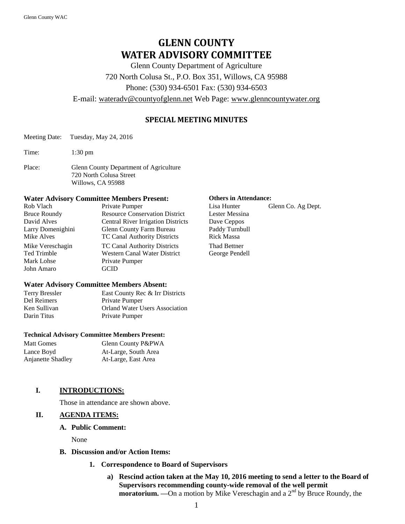# **GLENN COUNTY WATER ADVISORY COMMITTEE**

Glenn County Department of Agriculture 720 North Colusa St., P.O. Box 351, Willows, CA 95988 Phone: (530) 934-6501 Fax: (530) 934-6503

E-mail: [wateradv@countyofglenn.net](mailto:wateradv@countyofglenn.net) Web Page: [www.glenncountywater.org](http://www.glenncountywater.org/)

# **SPECIAL MEETING MINUTES**

- Meeting Date: Tuesday, May 24, 2016
- Time: 1:30 pm
- Place: Glenn County Department of Agriculture 720 North Colusa Street Willows, CA 95988

#### **Water Advisory Committee Members Present: Others in Attendance:**

| Rob Vlach           | Private Pumper                            |
|---------------------|-------------------------------------------|
| <b>Bruce Roundy</b> | <b>Resource Conservation District</b>     |
| David Alves         | <b>Central River Irrigation Districts</b> |
| Larry Domenighini   | Glenn County Farm Bureau                  |
| Mike Alves          | TC Canal Authority Districts              |
| Mike Vereschagin    | <b>TC Canal Authority Districts</b>       |
| <b>Ted Trimble</b>  | <b>Western Canal Water District</b>       |
| Mark Lohse          | Private Pumper                            |
| John Amaro          | GCID                                      |
|                     |                                           |

#### **Water Advisory Committee Members Absent:**

| <b>Terry Bressler</b> | East County Rec & Irr Districts       |
|-----------------------|---------------------------------------|
| Del Reimers           | Private Pumper                        |
| Ken Sullivan          | <b>Orland Water Users Association</b> |
| Darin Titus           | Private Pumper                        |

#### **Technical Advisory Committee Members Present:**

| Matt Gomes        | Glenn County P&PWA   |
|-------------------|----------------------|
| Lance Boyd        | At-Large, South Area |
| Anjanette Shadley | At-Large, East Area  |

### **I. INTRODUCTIONS:**

Those in attendance are shown above.

### **II. AGENDA ITEMS:**

#### **A. Public Comment:**

None

- **B. Discussion and/or Action Items:**
	- **1. Correspondence to Board of Supervisors**
		- **a) Rescind action taken at the May 10, 2016 meeting to send a letter to the Board of Supervisors recommending county-wide removal of the well permit moratorium.** —On a motion by Mike Vereschagin and a 2<sup>nd</sup> by Bruce Roundy, the

Lisa Hunter Glenn Co. Ag Dept. Lester Messina Dave Ceppos Paddy Turnbull Rick Massa Thad Bettner George Pendell